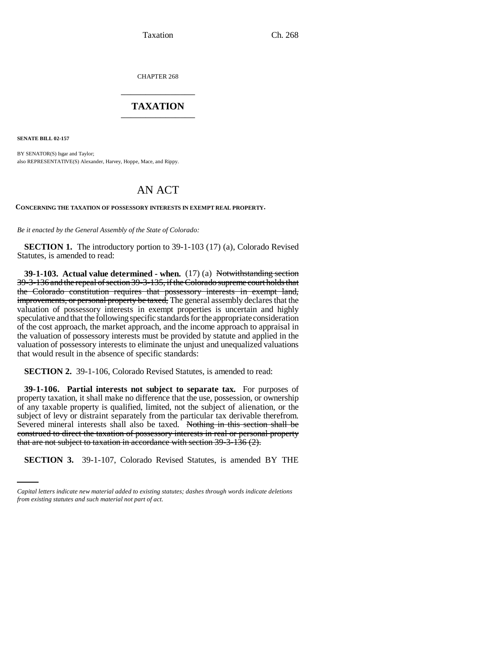Taxation Ch. 268

CHAPTER 268 \_\_\_\_\_\_\_\_\_\_\_\_\_\_\_

## **TAXATION** \_\_\_\_\_\_\_\_\_\_\_\_\_\_\_

**SENATE BILL 02-157**

BY SENATOR(S) Isgar and Taylor; also REPRESENTATIVE(S) Alexander, Harvey, Hoppe, Mace, and Rippy.

## AN ACT

**CONCERNING THE TAXATION OF POSSESSORY INTERESTS IN EXEMPT REAL PROPERTY.**

*Be it enacted by the General Assembly of the State of Colorado:*

**SECTION 1.** The introductory portion to 39-1-103 (17) (a), Colorado Revised Statutes, is amended to read:

**39-1-103. Actual value determined - when.** (17) (a) Notwithstanding section 39-3-136 and the repeal of section 39-3-135, if the Colorado supreme court holds that the Colorado constitution requires that possessory interests in exempt land, improvements, or personal property be taxed, The general assembly declares that the valuation of possessory interests in exempt properties is uncertain and highly speculative and that the following specific standards for the appropriate consideration of the cost approach, the market approach, and the income approach to appraisal in the valuation of possessory interests must be provided by statute and applied in the valuation of possessory interests to eliminate the unjust and unequalized valuations that would result in the absence of specific standards:

**SECTION 2.** 39-1-106, Colorado Revised Statutes, is amended to read:

that are not subject to taxation in accordance with section 39-3-136 (2). **39-1-106. Partial interests not subject to separate tax.** For purposes of property taxation, it shall make no difference that the use, possession, or ownership of any taxable property is qualified, limited, not the subject of alienation, or the subject of levy or distraint separately from the particular tax derivable therefrom. Severed mineral interests shall also be taxed. Nothing in this section shall be construed to direct the taxation of possessory interests in real or personal property

**SECTION 3.** 39-1-107, Colorado Revised Statutes, is amended BY THE

*Capital letters indicate new material added to existing statutes; dashes through words indicate deletions from existing statutes and such material not part of act.*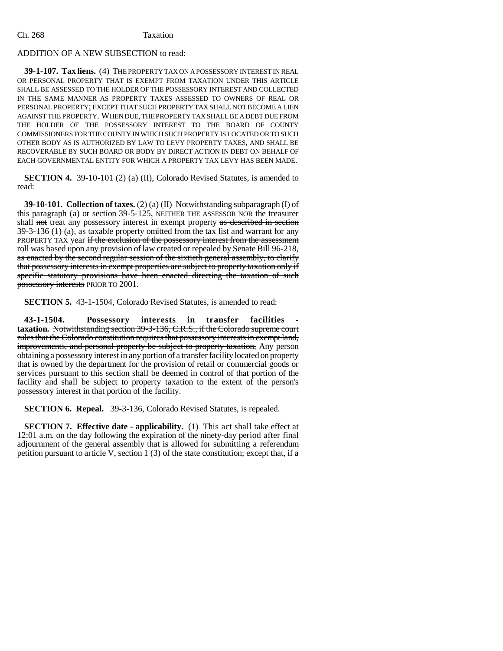## Ch. 268 Taxation

## ADDITION OF A NEW SUBSECTION to read:

**39-1-107. Tax liens.** (4) THE PROPERTY TAX ON A POSSESSORY INTEREST IN REAL OR PERSONAL PROPERTY THAT IS EXEMPT FROM TAXATION UNDER THIS ARTICLE SHALL BE ASSESSED TO THE HOLDER OF THE POSSESSORY INTEREST AND COLLECTED IN THE SAME MANNER AS PROPERTY TAXES ASSESSED TO OWNERS OF REAL OR PERSONAL PROPERTY; EXCEPT THAT SUCH PROPERTY TAX SHALL NOT BECOME A LIEN AGAINST THE PROPERTY. WHEN DUE, THE PROPERTY TAX SHALL BE A DEBT DUE FROM THE HOLDER OF THE POSSESSORY INTEREST TO THE BOARD OF COUNTY COMMISSIONERS FOR THE COUNTY IN WHICH SUCH PROPERTY IS LOCATED OR TO SUCH OTHER BODY AS IS AUTHORIZED BY LAW TO LEVY PROPERTY TAXES, AND SHALL BE RECOVERABLE BY SUCH BOARD OR BODY BY DIRECT ACTION IN DEBT ON BEHALF OF EACH GOVERNMENTAL ENTITY FOR WHICH A PROPERTY TAX LEVY HAS BEEN MADE.

**SECTION 4.** 39-10-101 (2) (a) (II), Colorado Revised Statutes, is amended to read:

**39-10-101. Collection of taxes.** (2) (a) (II) Notwithstanding subparagraph (I) of this paragraph (a) or section 39-5-125, NEITHER THE ASSESSOR NOR the treasurer shall not treat any possessory interest in exempt property as described in section  $39-3-136$  (1) (a), as taxable property omitted from the tax list and warrant for any PROPERTY TAX year if the exclusion of the possessory interest from the assessment roll was based upon any provision of law created or repealed by Senate Bill 96-218, as enacted by the second regular session of the sixtieth general assembly, to clarify that possessory interests in exempt properties are subject to property taxation only if specific statutory provisions have been enacted directing the taxation of such possessory interests PRIOR TO 2001.

**SECTION 5.** 43-1-1504, Colorado Revised Statutes, is amended to read:

**43-1-1504. Possessory interests in transfer facilities taxation.** Notwithstanding section 39-3-136, C.R.S., if the Colorado supreme court rules that the Colorado constitution requires that possessory interests in exempt land, improvements, and personal property be subject to property taxation, Any person obtaining a possessory interest in any portion of a transfer facility located on property that is owned by the department for the provision of retail or commercial goods or services pursuant to this section shall be deemed in control of that portion of the facility and shall be subject to property taxation to the extent of the person's possessory interest in that portion of the facility.

**SECTION 6. Repeal.** 39-3-136, Colorado Revised Statutes, is repealed.

**SECTION 7. Effective date - applicability.** (1) This act shall take effect at 12:01 a.m. on the day following the expiration of the ninety-day period after final adjournment of the general assembly that is allowed for submitting a referendum petition pursuant to article V, section 1 (3) of the state constitution; except that, if a